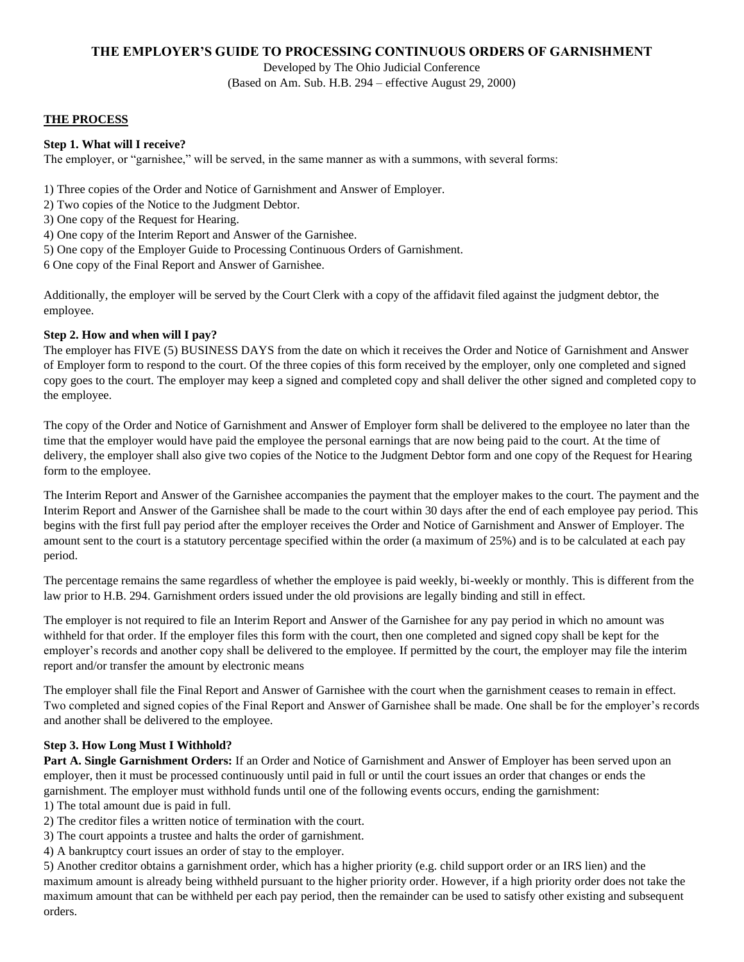# **THE EMPLOYER'S GUIDE TO PROCESSING CONTINUOUS ORDERS OF GARNISHMENT**

Developed by The Ohio Judicial Conference (Based on Am. Sub. H.B. 294 – effective August 29, 2000)

#### **THE PROCESS**

#### **Step 1. What will I receive?**

The employer, or "garnishee," will be served, in the same manner as with a summons, with several forms:

1) Three copies of the Order and Notice of Garnishment and Answer of Employer.

- 2) Two copies of the Notice to the Judgment Debtor.
- 3) One copy of the Request for Hearing.
- 4) One copy of the Interim Report and Answer of the Garnishee.
- 5) One copy of the Employer Guide to Processing Continuous Orders of Garnishment.

6 One copy of the Final Report and Answer of Garnishee.

Additionally, the employer will be served by the Court Clerk with a copy of the affidavit filed against the judgment debtor, the employee.

#### **Step 2. How and when will I pay?**

The employer has FIVE (5) BUSINESS DAYS from the date on which it receives the Order and Notice of Garnishment and Answer of Employer form to respond to the court. Of the three copies of this form received by the employer, only one completed and signed copy goes to the court. The employer may keep a signed and completed copy and shall deliver the other signed and completed copy to the employee.

The copy of the Order and Notice of Garnishment and Answer of Employer form shall be delivered to the employee no later than the time that the employer would have paid the employee the personal earnings that are now being paid to the court. At the time of delivery, the employer shall also give two copies of the Notice to the Judgment Debtor form and one copy of the Request for Hearing form to the employee.

The Interim Report and Answer of the Garnishee accompanies the payment that the employer makes to the court. The payment and the Interim Report and Answer of the Garnishee shall be made to the court within 30 days after the end of each employee pay period. This begins with the first full pay period after the employer receives the Order and Notice of Garnishment and Answer of Employer. The amount sent to the court is a statutory percentage specified within the order (a maximum of 25%) and is to be calculated at each pay period.

The percentage remains the same regardless of whether the employee is paid weekly, bi-weekly or monthly. This is different from the law prior to H.B. 294. Garnishment orders issued under the old provisions are legally binding and still in effect.

The employer is not required to file an Interim Report and Answer of the Garnishee for any pay period in which no amount was withheld for that order. If the employer files this form with the court, then one completed and signed copy shall be kept for the employer's records and another copy shall be delivered to the employee. If permitted by the court, the employer may file the interim report and/or transfer the amount by electronic means

The employer shall file the Final Report and Answer of Garnishee with the court when the garnishment ceases to remain in effect. Two completed and signed copies of the Final Report and Answer of Garnishee shall be made. One shall be for the employer's records and another shall be delivered to the employee.

## **Step 3. How Long Must I Withhold?**

**Part A. Single Garnishment Orders:** If an Order and Notice of Garnishment and Answer of Employer has been served upon an employer, then it must be processed continuously until paid in full or until the court issues an order that changes or ends the garnishment. The employer must withhold funds until one of the following events occurs, ending the garnishment:

1) The total amount due is paid in full.

- 2) The creditor files a written notice of termination with the court.
- 3) The court appoints a trustee and halts the order of garnishment.
- 4) A bankruptcy court issues an order of stay to the employer.

5) Another creditor obtains a garnishment order, which has a higher priority (e.g. child support order or an IRS lien) and the maximum amount is already being withheld pursuant to the higher priority order. However, if a high priority order does not take the maximum amount that can be withheld per each pay period, then the remainder can be used to satisfy other existing and subsequent orders.